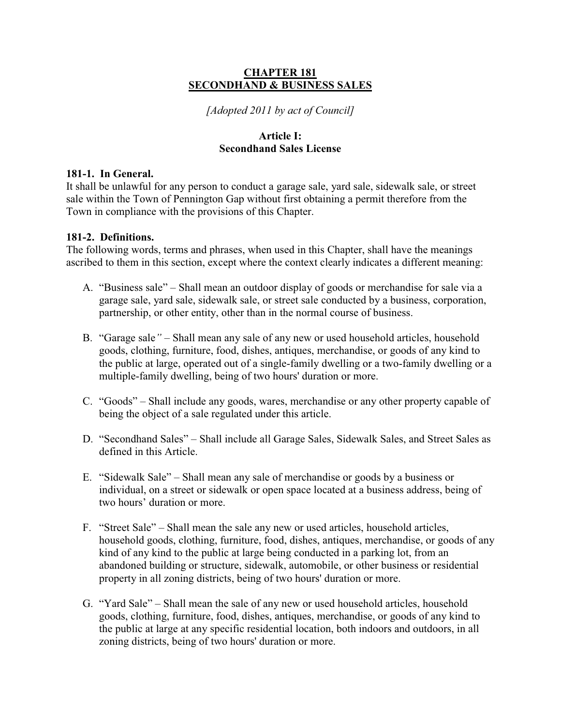## **CHAPTER 181 SECONDHAND & BUSINESS SALES**

*[Adopted 2011 by act of Council]* 

## **Article I: Secondhand Sales License**

# **181-1. In General.**

It shall be unlawful for any person to conduct a garage sale, yard sale, sidewalk sale, or street sale within the Town of Pennington Gap without first obtaining a permit therefore from the Town in compliance with the provisions of this Chapter.

## **181-2. Definitions.**

The following words, terms and phrases, when used in this Chapter, shall have the meanings ascribed to them in this section, except where the context clearly indicates a different meaning:

- A. "Business sale" Shall mean an outdoor display of goods or merchandise for sale via a garage sale, yard sale, sidewalk sale, or street sale conducted by a business, corporation, partnership, or other entity, other than in the normal course of business.
- B. "Garage sale" Shall mean any sale of any new or used household articles, household goods, clothing, furniture, food, dishes, antiques, merchandise, or goods of any kind to the public at large, operated out of a single-family dwelling or a two-family dwelling or a multiple-family dwelling, being of two hours' duration or more.
- C. "Goods" Shall include any goods, wares, merchandise or any other property capable of being the object of a sale regulated under this article.
- D. "Secondhand Sales" Shall include all Garage Sales, Sidewalk Sales, and Street Sales as defined in this Article.
- E. "Sidewalk Sale" Shall mean any sale of merchandise or goods by a business or individual, on a street or sidewalk or open space located at a business address, being of two hours' duration or more.
- F. "Street Sale" Shall mean the sale any new or used articles, household articles, household goods, clothing, furniture, food, dishes, antiques, merchandise, or goods of any kind of any kind to the public at large being conducted in a parking lot, from an abandoned building or structure, sidewalk, automobile, or other business or residential property in all zoning districts, being of two hours' duration or more.
- G. "Yard Sale" Shall mean the sale of any new or used household articles, household goods, clothing, furniture, food, dishes, antiques, merchandise, or goods of any kind to the public at large at any specific residential location, both indoors and outdoors, in all zoning districts, being of two hours' duration or more.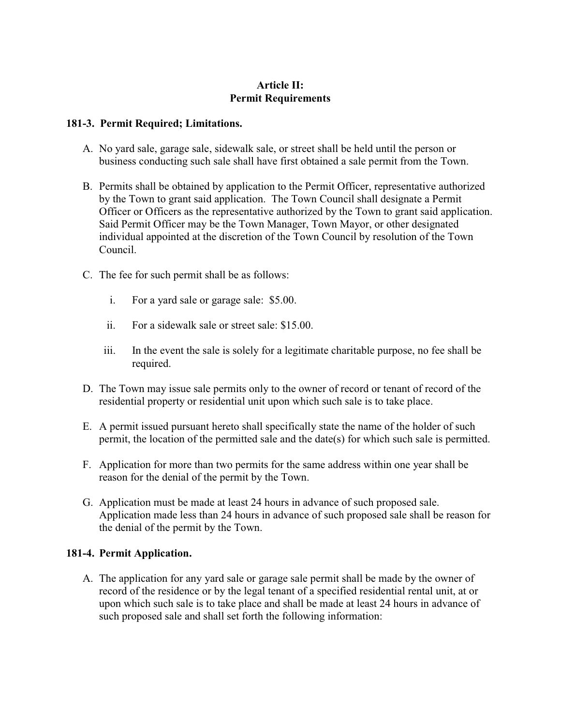# **Article II: Permit Requirements**

## **181-3. Permit Required; Limitations.**

- A. No yard sale, garage sale, sidewalk sale, or street shall be held until the person or business conducting such sale shall have first obtained a sale permit from the Town.
- B. Permits shall be obtained by application to the Permit Officer, representative authorized by the Town to grant said application. The Town Council shall designate a Permit Officer or Officers as the representative authorized by the Town to grant said application. Said Permit Officer may be the Town Manager, Town Mayor, or other designated individual appointed at the discretion of the Town Council by resolution of the Town Council.
- C. The fee for such permit shall be as follows:
	- i. For a yard sale or garage sale: \$5.00.
	- ii. For a sidewalk sale or street sale: \$15.00.
	- iii. In the event the sale is solely for a legitimate charitable purpose, no fee shall be required.
- D. The Town may issue sale permits only to the owner of record or tenant of record of the residential property or residential unit upon which such sale is to take place.
- E. A permit issued pursuant hereto shall specifically state the name of the holder of such permit, the location of the permitted sale and the date(s) for which such sale is permitted.
- F. Application for more than two permits for the same address within one year shall be reason for the denial of the permit by the Town.
- G. Application must be made at least 24 hours in advance of such proposed sale. Application made less than 24 hours in advance of such proposed sale shall be reason for the denial of the permit by the Town.

### **181-4. Permit Application.**

A. The application for any yard sale or garage sale permit shall be made by the owner of record of the residence or by the legal tenant of a specified residential rental unit, at or upon which such sale is to take place and shall be made at least 24 hours in advance of such proposed sale and shall set forth the following information: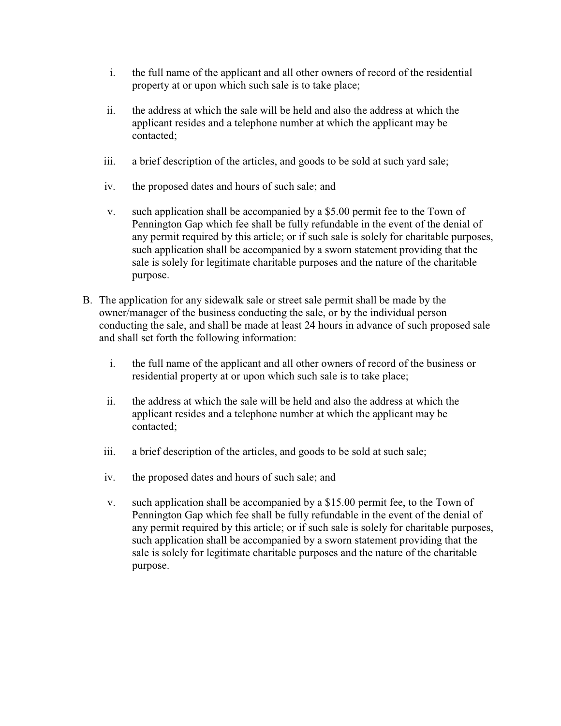- i. the full name of the applicant and all other owners of record of the residential property at or upon which such sale is to take place;
- ii. the address at which the sale will be held and also the address at which the applicant resides and a telephone number at which the applicant may be contacted;
- iii. a brief description of the articles, and goods to be sold at such yard sale;
- iv. the proposed dates and hours of such sale; and
- v. such application shall be accompanied by a \$5.00 permit fee to the Town of Pennington Gap which fee shall be fully refundable in the event of the denial of any permit required by this article; or if such sale is solely for charitable purposes, such application shall be accompanied by a sworn statement providing that the sale is solely for legitimate charitable purposes and the nature of the charitable purpose.
- B. The application for any sidewalk sale or street sale permit shall be made by the owner/manager of the business conducting the sale, or by the individual person conducting the sale, and shall be made at least 24 hours in advance of such proposed sale and shall set forth the following information:
	- i. the full name of the applicant and all other owners of record of the business or residential property at or upon which such sale is to take place;
	- ii. the address at which the sale will be held and also the address at which the applicant resides and a telephone number at which the applicant may be contacted;
	- iii. a brief description of the articles, and goods to be sold at such sale;
	- iv. the proposed dates and hours of such sale; and
	- v. such application shall be accompanied by a \$15.00 permit fee, to the Town of Pennington Gap which fee shall be fully refundable in the event of the denial of any permit required by this article; or if such sale is solely for charitable purposes, such application shall be accompanied by a sworn statement providing that the sale is solely for legitimate charitable purposes and the nature of the charitable purpose.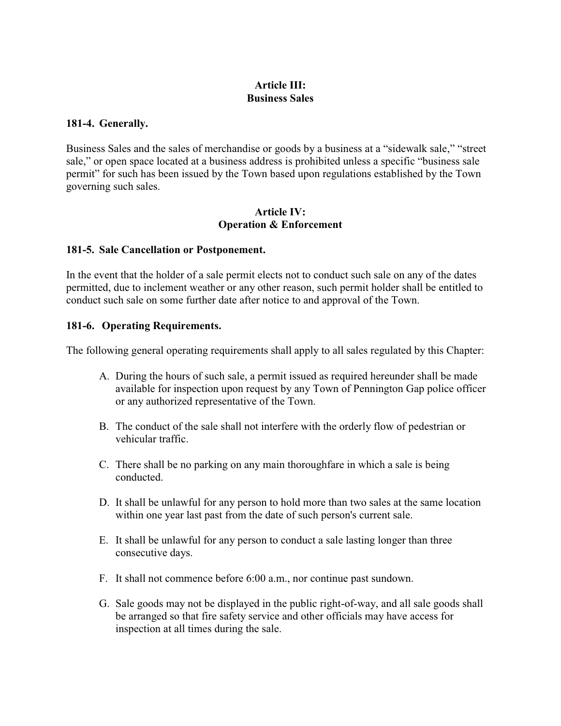# **Article III: Business Sales**

## **181-4. Generally.**

Business Sales and the sales of merchandise or goods by a business at a "sidewalk sale," "street sale," or open space located at a business address is prohibited unless a specific "business sale" permit" for such has been issued by the Town based upon regulations established by the Town governing such sales.

## **Article IV: Operation & Enforcement**

### **181-5. Sale Cancellation or Postponement.**

In the event that the holder of a sale permit elects not to conduct such sale on any of the dates permitted, due to inclement weather or any other reason, such permit holder shall be entitled to conduct such sale on some further date after notice to and approval of the Town.

## **181-6. Operating Requirements.**

The following general operating requirements shall apply to all sales regulated by this Chapter:

- A. During the hours of such sale, a permit issued as required hereunder shall be made available for inspection upon request by any Town of Pennington Gap police officer or any authorized representative of the Town.
- B. The conduct of the sale shall not interfere with the orderly flow of pedestrian or vehicular traffic.
- C. There shall be no parking on any main thoroughfare in which a sale is being conducted.
- D. It shall be unlawful for any person to hold more than two sales at the same location within one year last past from the date of such person's current sale.
- E. It shall be unlawful for any person to conduct a sale lasting longer than three consecutive days.
- F. It shall not commence before 6:00 a.m., nor continue past sundown.
- G. Sale goods may not be displayed in the public right-of-way, and all sale goods shall be arranged so that fire safety service and other officials may have access for inspection at all times during the sale.